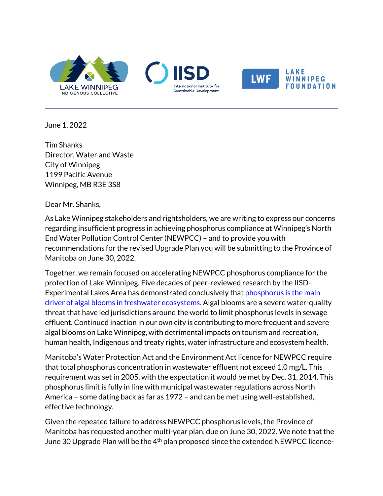







June 1, 2022

 $\overline{\phantom{0}}$ 

Tim Shanks Director, Water and Waste City of Winnipeg 1199 Pacific Avenue Winnipeg, MB R3E 3S8

Dear Mr. Shanks,

As Lake Winnipeg stakeholders and rightsholders, we are writing to express our concerns regarding insufficient progress in achieving phosphorus compliance at Winnipeg's North End Water Pollution Control Center (NEWPCC) – and to provide you with recommendations for the revised Upgrade Plan you will be submitting to the Province of Manitoba on June 30, 2022.

Together, we remain focused on accelerating NEWPCC phosphorus compliance for the protection of Lake Winnipeg. Five decades of peer-reviewed research by the IISD-Experimental Lakes Area has demonstrated conclusively that [phosphorus is the main](https://www.iisd.org/articles/press-release/reducing-how-much-nitrogen-enters-lake-has-little-impact-algal-blooms-find)  [driver of algal blooms in freshwater ecosystems.](https://www.iisd.org/articles/press-release/reducing-how-much-nitrogen-enters-lake-has-little-impact-algal-blooms-find) Algal blooms are a severe water-quality threat that have led jurisdictions around the world to limit phosphorus levels in sewage effluent. Continued inaction in our own city is contributing to more frequent and severe algal blooms on Lake Winnipeg, with detrimental impacts on tourism and recreation, human health, Indigenous and treaty rights, water infrastructure and ecosystem health.

Manitoba's Water Protection Act and the Environment Act licence for NEWPCC require that total phosphorus concentration in wastewater effluent not exceed 1.0 mg/L. This requirement was set in 2005, with the expectation it would be met by Dec. 31, 2014. This phosphorus limit is fully in line with municipal wastewater regulations across North America – some dating back as far as 1972 – and can be met using well-established, effective technology.

Given the repeated failure to address NEWPCC phosphorus levels, the Province of Manitoba has requested another multi-year plan, due on June 30, 2022. We note that the June 30 Upgrade Plan will be the 4<sup>th</sup> plan proposed since the extended NEWPCC licence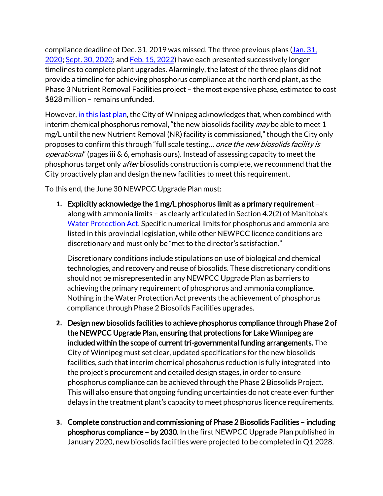compliance deadline of Dec. 31, 2019 was missed. The three previous plans [\(Jan. 31,](https://www.gov.mb.ca/sd/eal/registries/1071.1/2020131_psc_plans_newpcc.pdf)  [2020;](https://www.gov.mb.ca/sd/eal/registries/1071.1/2020131_psc_plans_newpcc.pdf) [Sept. 30, 2020;](https://www.gov.mb.ca/sd/eal/registries/1071.1/20200930_newpcc_upgrade_update.pdf) an[d Feb. 15, 2022\)](https://www.gov.mb.ca/sd/eal/registries/1071.1/20220215_rprt.pdf) have each presented successively longer timelines to complete plant upgrades. Alarmingly, the latest of the three plans did not provide a timeline for achieving phosphorus compliance at the north end plant, as the Phase 3 Nutrient Removal Facilities project – the most expensive phase, estimated to cost \$828 million – remains unfunded.

However[, in this last](https://www.gov.mb.ca/sd/eal/registries/1071.1/20220215_rprt.pdf) plan, the City of Winnipeg acknowledges that, when combined with interim chemical phosphorus removal, "the new biosolids facility  $m$ ay be able to meet 1 mg/L until the new Nutrient Removal (NR) facility is commissioned," though the City only proposes to confirm this through "full scale testing... once the new biosolids facility is operational" (pages iii & 6, emphasis ours). Instead of assessing capacity to meet the phosphorus target only *after* biosolids construction is complete, we recommend that the City proactively plan and design the new facilities to meet this requirement.

To this end, the June 30 NEWPCC Upgrade Plan must:

**1.** Explicitly acknowledge the 1 mg/L phosphorus limit as a primary requirement – along with ammonia limits – as clearly articulated in Section 4.2(2) of Manitoba's [Water Protection Act.](https://web2.gov.mb.ca/laws/statutes/ccsm/w065e.php) Specific numerical limits for phosphorus and ammonia are listed in this provincial legislation, while other NEWPCC licence conditions are discretionary and must only be "met to the director's satisfaction."

Discretionary conditions include stipulations on use of biological and chemical technologies, and recovery and reuse of biosolids. These discretionary conditions should not be misrepresented in any NEWPCC Upgrade Plan as barriers to achieving the primary requirement of phosphorus and ammonia compliance. Nothing in the Water Protection Act prevents the achievement of phosphorus compliance through Phase 2 Biosolids Facilities upgrades.

- **2.** Design new biosolids facilities to achieve phosphorus compliance through Phase 2 of the NEWPCC Upgrade Plan, ensuring that protections for Lake Winnipeg are included within the scope of current tri-governmental funding arrangements. The City of Winnipeg must set clear, updated specifications for the new biosolids facilities, such that interim chemical phosphorus reduction is fully integrated into the project's procurement and detailed design stages, in order to ensure phosphorus compliance can be achieved through the Phase 2 Biosolids Project. This will also ensure that ongoing funding uncertainties do not create even further delays in the treatment plant's capacity to meet phosphorus licence requirements.
- **3.** Complete construction and commissioning of Phase 2 Biosolids Facilities including phosphorus compliance – by 2030. In the first NEWPCC Upgrade Plan published in January 2020, new biosolids facilities were projected to be completed in Q1 2028.